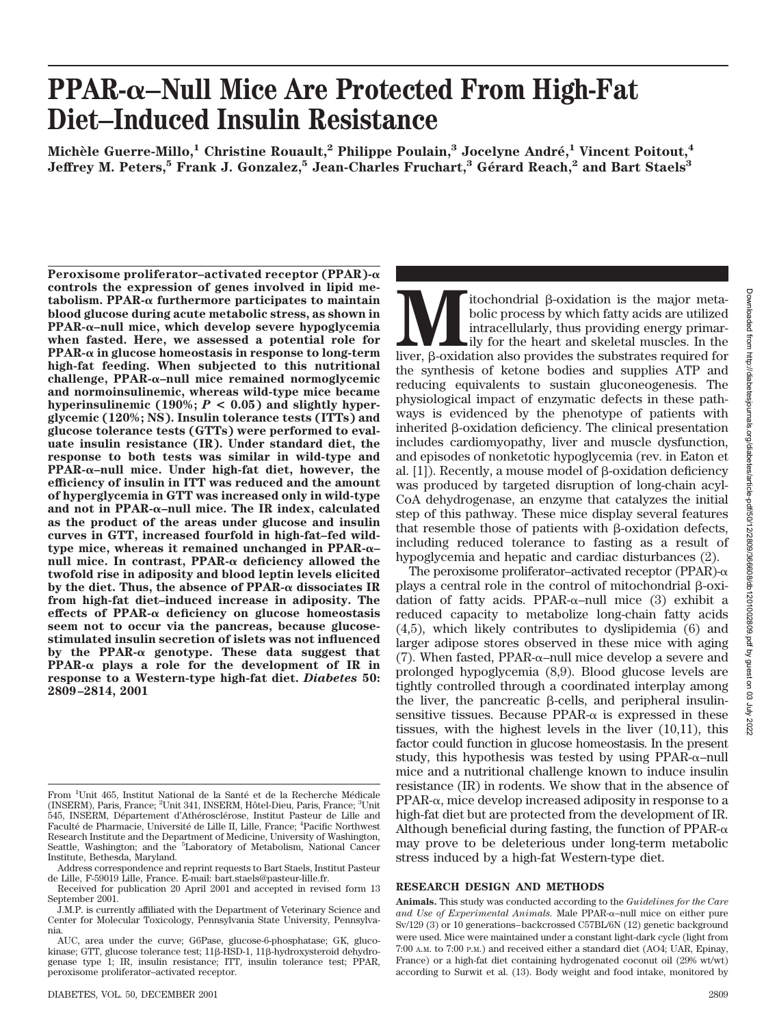# **PPAR-–Null Mice Are Protected From High-Fat Diet–Induced Insulin Resistance**

**Miche`le Guerre-Millo,1 Christine Rouault,2 Philippe Poulain,3 Jocelyne Andre´,1 Vincent Poitout,4 Jeffrey M. Peters,5 Frank J. Gonzalez,5 Jean-Charles Fruchart,3 Ge´rard Reach,2 and Bart Staels3**

**Peroxisome proliferator–activated receptor (PPAR) controls the expression of genes involved in lipid me** $tabolism. PPAR- $\alpha$  furthermore participants to maintain$ **blood glucose during acute metabolic stress, as shown in PPAR-–null mice, which develop severe hypoglycemia when fasted. Here, we assessed a potential role for PPAR- in glucose homeostasis in response to long-term high-fat feeding. When subjected to this nutritional challenge, PPAR-–null mice remained normoglycemic and normoinsulinemic, whereas wild-type mice became** hyperinsulinemic  $(190\%; P < 0.05)$  and slightly hyper**glycemic (120%; NS). Insulin tolerance tests (ITTs) and glucose tolerance tests (GTTs) were performed to evaluate insulin resistance (IR). Under standard diet, the response to both tests was similar in wild-type and PPAR-–null mice. Under high-fat diet, however, the efficiency of insulin in ITT was reduced and the amount of hyperglycemia in GTT was increased only in wild-type and not in PPAR-–null mice. The IR index, calculated as the product of the areas under glucose and insulin curves in GTT, increased fourfold in high-fat–fed wildtype mice, whereas it remained unchanged in PPAR-– null mice. In contrast, PPAR-α deficiency allowed the twofold rise in adiposity and blood leptin levels elicited** by the diet. Thus, the absence of  $PPAR-\alpha$  dissociates IR **from high-fat diet–induced increase in adiposity. The effects of PPAR- deficiency on glucose homeostasis seem not to occur via the pancreas, because glucosestimulated insulin secretion of islets was not influenced** by the PPAR- $\alpha$  genotype. These data suggest that **PPAR-** $\alpha$  plays a role for the development of IR in **response to a Western-type high-fat diet.** *Diabetes* **50: 2809–2814, 2001**

**M**<br> **M** itochondrial β-oxidation is the major meta-<br>
bolic process by which fatty acids are utilized<br>
intracellularly, thus providing energy primar-<br>
liver, β-oxidation also provides the substrates required for bolic process by which fatty acids are utilized intracellularly, thus providing energy primarily for the heart and skeletal muscles. In the the synthesis of ketone bodies and supplies ATP and reducing equivalents to sustain gluconeogenesis. The physiological impact of enzymatic defects in these pathways is evidenced by the phenotype of patients with inherited  $\beta$ -oxidation deficiency. The clinical presentation includes cardiomyopathy, liver and muscle dysfunction, and episodes of nonketotic hypoglycemia (rev. in Eaton et al.  $[1]$ ). Recently, a mouse model of  $\beta$ -oxidation deficiency was produced by targeted disruption of long-chain acyl-CoA dehydrogenase, an enzyme that catalyzes the initial step of this pathway. These mice display several features that resemble those of patients with  $\beta$ -oxidation defects, including reduced tolerance to fasting as a result of hypoglycemia and hepatic and cardiac disturbances (2).

The peroxisome proliferator–activated receptor (PPAR)- $\alpha$ plays a central role in the control of mitochondrial  $\beta$ -oxidation of fatty acids. PPAR- $\alpha$ -null mice (3) exhibit a reduced capacity to metabolize long-chain fatty acids (4,5), which likely contributes to dyslipidemia (6) and larger adipose stores observed in these mice with aging (7). When fasted, PPAR- $\alpha$ -null mice develop a severe and prolonged hypoglycemia (8,9). Blood glucose levels are tightly controlled through a coordinated interplay among the liver, the pancreatic  $\beta$ -cells, and peripheral insulinsensitive tissues. Because  $PPAR-\alpha$  is expressed in these tissues, with the highest levels in the liver (10,11), this factor could function in glucose homeostasis. In the present study, this hypothesis was tested by using  $PPAR-\alpha$ -null mice and a nutritional challenge known to induce insulin resistance (IR) in rodents. We show that in the absence of  $PPAR-\alpha$ , mice develop increased adiposity in response to a high-fat diet but are protected from the development of IR. Although beneficial during fasting, the function of  $PPAR-\alpha$ may prove to be deleterious under long-term metabolic stress induced by a high-fat Western-type diet.

### **RESEARCH DESIGN AND METHODS**

From <sup>1</sup>Unit 465, Institut National de la Santé et de la Recherche Médicale (INSERM), Paris, France; <sup>2</sup>Unit 341, INSERM, Hôtel-Dieu, Paris, France; <sup>3</sup>Unit 545, INSERM, Département d'Athérosclérose, Institut Pasteur de Lille and Faculté de Pharmacie, Université de Lille II, Lille, France; <sup>4</sup>Pacific Northwest Research Institute and the Department of Medicine, University of Washington, Seattle, Washington; and the <sup>5</sup>Laboratory of Metabolism, National Cancer Institute, Bethesda, Maryland.

Address correspondence and reprint requests to Bart Staels, Institut Pasteur de Lille, F-59019 Lille, France. E-mail: bart.staels@pasteur-lille.fr.

Received for publication 20 April 2001 and accepted in revised form 13 September 2001.

J.M.P. is currently affiliated with the Department of Veterinary Science and Center for Molecular Toxicology, Pennsylvania State University, Pennsylvania.

AUC, area under the curve; G6Pase, glucose-6-phosphatase; GK, glucokinase; GTT, glucose tolerance test; 11β-HSD-1, 11β-hydroxysteroid dehydrogenase type 1; IR, insulin resistance; ITT, insulin tolerance test; PPAR, peroxisome proliferator–activated receptor.

**Animals.** This study was conducted according to the *Guidelines for the Care* and Use of Experimental Animals. Male PPAR-α-null mice on either pure Sv/129 (3) or 10 generations–backcrossed C57BL/6N (12) genetic background were used. Mice were maintained under a constant light-dark cycle (light from 7:00 A.M. to 7:00 P.M.) and received either a standard diet (AO4; UAR, Epinay, France) or a high-fat diet containing hydrogenated coconut oil (29% wt/wt) according to Surwit et al. (13). Body weight and food intake, monitored by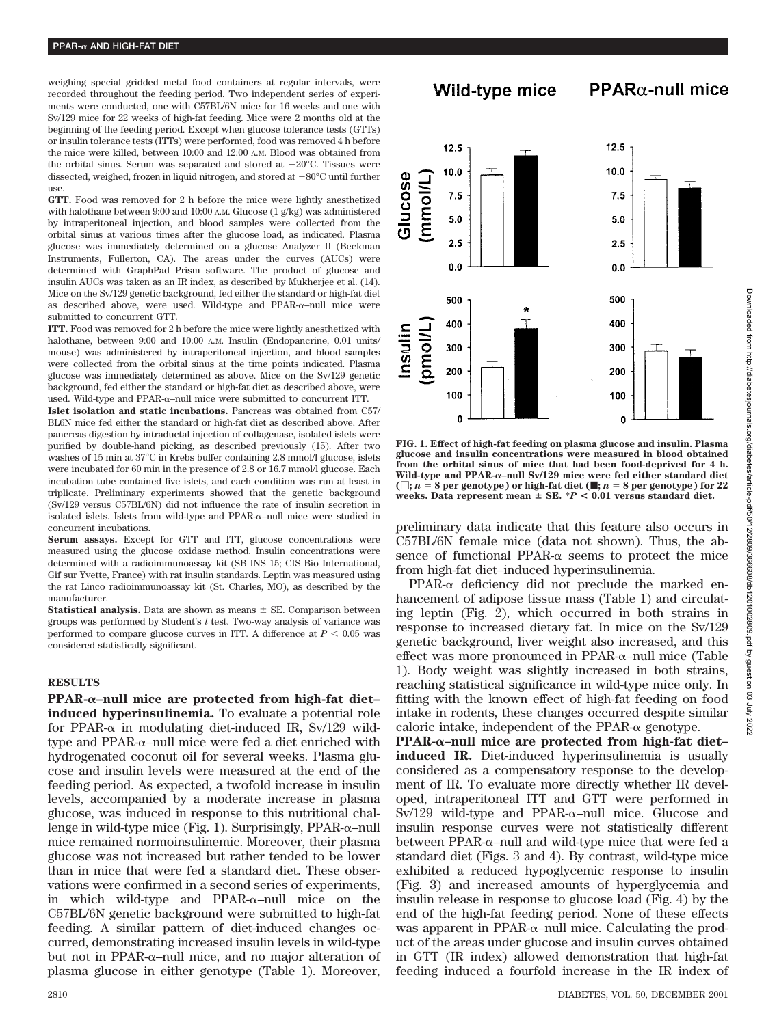weighing special gridded metal food containers at regular intervals, were recorded throughout the feeding period. Two independent series of experiments were conducted, one with C57BL/6N mice for 16 weeks and one with Sv/129 mice for 22 weeks of high-fat feeding. Mice were 2 months old at the beginning of the feeding period. Except when glucose tolerance tests (GTTs) or insulin tolerance tests (ITTs) were performed, food was removed 4 h before the mice were killed, between 10:00 and 12:00 A.M. Blood was obtained from the orbital sinus. Serum was separated and stored at  $-20^{\circ}$ C. Tissues were dissected, weighed, frozen in liquid nitrogen, and stored at  $-80^{\circ}$ C until further use.

**GTT.** Food was removed for 2 h before the mice were lightly anesthetized with halothane between 9:00 and 10:00 A.M. Glucose (1 g/kg) was administered by intraperitoneal injection, and blood samples were collected from the orbital sinus at various times after the glucose load, as indicated. Plasma glucose was immediately determined on a glucose Analyzer II (Beckman Instruments, Fullerton, CA). The areas under the curves (AUCs) were determined with GraphPad Prism software. The product of glucose and insulin AUCs was taken as an IR index, as described by Mukherjee et al. (14). Mice on the Sv/129 genetic background, fed either the standard or high-fat diet as described above, were used. Wild-type and PPAR- $\alpha$ -null mice were submitted to concurrent GTT.

**ITT.** Food was removed for 2 h before the mice were lightly anesthetized with halothane, between 9:00 and 10:00 A.M. Insulin (Endopancrine, 0.01 units/ mouse) was administered by intraperitoneal injection, and blood samples were collected from the orbital sinus at the time points indicated. Plasma glucose was immediately determined as above. Mice on the Sv/129 genetic background, fed either the standard or high-fat diet as described above, were used. Wild-type and PPAR- $\alpha$ -null mice were submitted to concurrent ITT.

**Islet isolation and static incubations.** Pancreas was obtained from C57/ BL6N mice fed either the standard or high-fat diet as described above. After pancreas digestion by intraductal injection of collagenase, isolated islets were purified by double-hand picking, as described previously (15). After two washes of 15 min at 37°C in Krebs buffer containing 2.8 mmol/l glucose, islets were incubated for 60 min in the presence of 2.8 or 16.7 mmol/l glucose. Each incubation tube contained five islets, and each condition was run at least in triplicate. Preliminary experiments showed that the genetic background (Sv/129 versus C57BL/6N) did not influence the rate of insulin secretion in isolated islets. Islets from wild-type and  $PPAR-\alpha$ -null mice were studied in concurrent incubations.

**Serum assays.** Except for GTT and ITT, glucose concentrations were measured using the glucose oxidase method. Insulin concentrations were determined with a radioimmunoassay kit (SB INS 15; CIS Bio International, Gif sur Yvette, France) with rat insulin standards. Leptin was measured using the rat Linco radioimmunoassay kit (St. Charles, MO), as described by the manufacturer.

**Statistical analysis.** Data are shown as means  $\pm$  SE. Comparison between groups was performed by Student's *t* test. Two-way analysis of variance was performed to compare glucose curves in ITT. A difference at  $P < 0.05$  was considered statistically significant.

#### **RESULTS**

**PPAR-–null mice are protected from high-fat diet– induced hyperinsulinemia.** To evaluate a potential role for PPAR- $\alpha$  in modulating diet-induced IR, Sv/129 wild $type$  and  $PPAR-\alpha$ -null mice were fed a diet enriched with hydrogenated coconut oil for several weeks. Plasma glucose and insulin levels were measured at the end of the feeding period. As expected, a twofold increase in insulin levels, accompanied by a moderate increase in plasma glucose, was induced in response to this nutritional challenge in wild-type mice (Fig.  $1$ ). Surprisingly, PPAR- $\alpha$ –null mice remained normoinsulinemic. Moreover, their plasma glucose was not increased but rather tended to be lower than in mice that were fed a standard diet. These observations were confirmed in a second series of experiments, in which wild-type and  $PPAR-\alpha$ -null mice on the C57BL/6N genetic background were submitted to high-fat feeding. A similar pattern of diet-induced changes occurred, demonstrating increased insulin levels in wild-type but not in PPAR- $\alpha$ -null mice, and no major alteration of plasma glucose in either genotype (Table 1). Moreover, Wild-type mice

# $PPAR\alpha$ -null mice



**FIG. 1. Effect of high-fat feeding on plasma glucose and insulin. Plasma glucose and insulin concentrations were measured in blood obtained from the orbital sinus of mice that had been food-deprived for 4 h. Wild-type and PPAR-–null Sv/129 mice were fed either standard diet**  $(\Box; n = 8 \text{ per genotype})$  or high-fat diet  $(\blacksquare; n = 8 \text{ per genotype})$  for 22 weeks. Data represent mean  $\pm$  SE.  $^*P$  < 0.01 versus standard diet.

preliminary data indicate that this feature also occurs in C57BL/6N female mice (data not shown). Thus, the absence of functional PPAR- $\alpha$  seems to protect the mice from high-fat diet–induced hyperinsulinemia.

 $PPAR-\alpha$  deficiency did not preclude the marked enhancement of adipose tissue mass (Table 1) and circulating leptin (Fig. 2), which occurred in both strains in response to increased dietary fat. In mice on the Sv/129 genetic background, liver weight also increased, and this  $effect$  was more pronounced in PPAR- $\alpha$ -null mice (Table 1). Body weight was slightly increased in both strains, reaching statistical significance in wild-type mice only. In fitting with the known effect of high-fat feeding on food intake in rodents, these changes occurred despite similar caloric intake, independent of the PPAR- $\alpha$  genotype.

**PPAR-–null mice are protected from high-fat diet– induced IR.** Diet-induced hyperinsulinemia is usually considered as a compensatory response to the development of IR. To evaluate more directly whether IR developed, intraperitoneal ITT and GTT were performed in  $Sv/129$  wild-type and PPAR- $\alpha$ -null mice. Glucose and insulin response curves were not statistically different between PPAR- $\alpha$ –null and wild-type mice that were fed a standard diet (Figs. 3 and 4). By contrast, wild-type mice exhibited a reduced hypoglycemic response to insulin (Fig. 3) and increased amounts of hyperglycemia and insulin release in response to glucose load (Fig. 4) by the end of the high-fat feeding period. None of these effects was apparent in PPAR- $\alpha$ -null mice. Calculating the product of the areas under glucose and insulin curves obtained in GTT (IR index) allowed demonstration that high-fat feeding induced a fourfold increase in the IR index of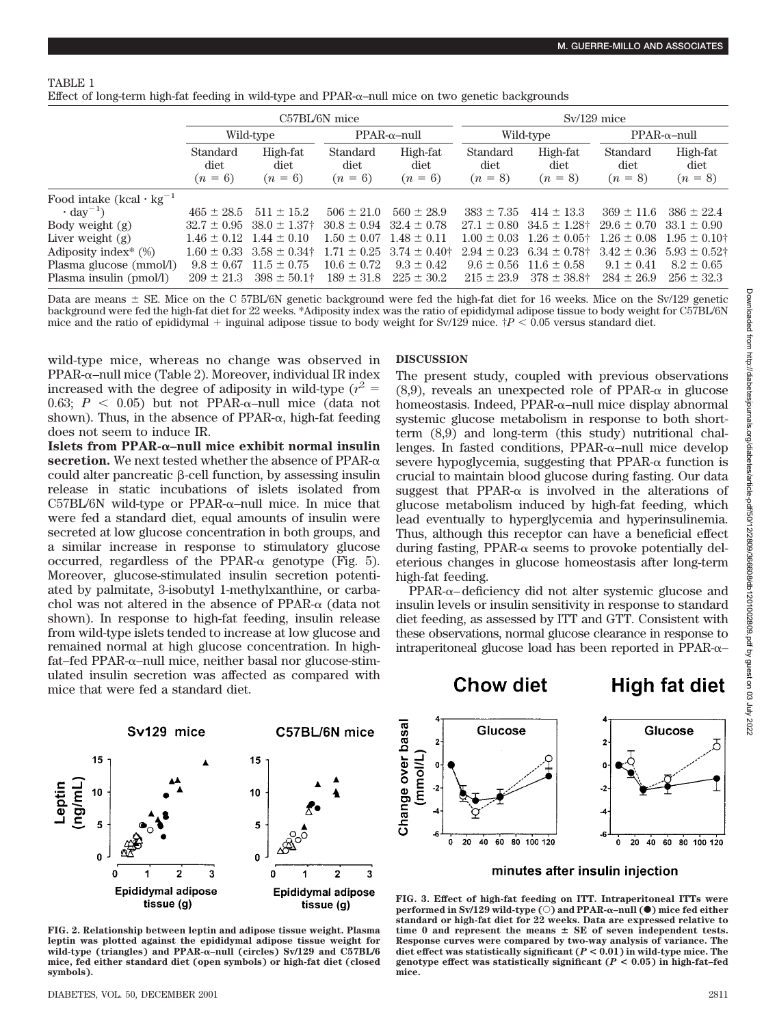### TABLE 1

Effect of long-term high-fat feeding in wild-type and  $PPAR-\alpha$ -null mice on two genetic backgrounds

|                                                                   | C57BL/6N mice                    |                                                                      |                                    |                                      | $Sv/129$ mice                      |                                        |                                    |                                      |
|-------------------------------------------------------------------|----------------------------------|----------------------------------------------------------------------|------------------------------------|--------------------------------------|------------------------------------|----------------------------------------|------------------------------------|--------------------------------------|
|                                                                   | Wild-type                        |                                                                      | $PPAR-\alpha$ -null                |                                      | Wild-type                          |                                        | $PPAR-\alpha$ -null                |                                      |
|                                                                   | Standard<br>diet<br>$(n = 6)$    | High-fat<br>diet<br>$(n = 6)$                                        | Standard<br>diet<br>$(n = 6)$      | High-fat<br>diet<br>$(n = 6)$        | Standard<br>diet<br>$(n = 8)$      | High-fat<br>diet<br>$(n = 8)$          | Standard<br>diet<br>$(n = 8)$      | High-fat<br>diet<br>$(n = 8)$        |
| Food intake $(kcal \cdot kg^{-1})$<br>$\cdot$ day <sup>-1</sup> ) | $465 \pm 28.5$                   | $511 \pm 15.2$                                                       | $506 \pm 21.0$                     | $560 \pm 28.9$                       | $383 \pm 7.35$                     | $414 \pm 13.3$                         | $369 \pm 11.6$                     | $386 \pm 22.4$                       |
| Body weight $(g)$                                                 |                                  | $32.7 \pm 0.95$ $38.0 \pm 1.37$                                      | $30.8 \pm 0.94$ $32.4 \pm 0.78$    |                                      | $27.1 \pm 0.80$                    | $34.5 \pm 1.28$ †                      | $29.6 \pm 0.70$                    | $33.1 \pm 0.90$                      |
| Liver weight $(g)$<br>Adiposity index <sup>*</sup> $(\%)$         |                                  | $1.46 \pm 0.12$ $1.44 \pm 0.10$<br>$1.60 \pm 0.33$ $3.58 \pm 0.34$ † | $1.50 \pm 0.07$<br>$1.71 \pm 0.25$ | $1.48 \pm 0.11$<br>$3.74 \pm 0.40^+$ | $1.00 \pm 0.03$<br>$2.94 \pm 0.23$ | $1.26 \pm 0.05$ †<br>$6.34 \pm 0.78$ † | $1.26 \pm 0.08$<br>$3.42 \pm 0.36$ | $1.95 \pm 0.10^+$<br>$5.93 \pm 0.52$ |
| Plasma glucose (mmol/l)<br>Plasma insulin (pmol/l)                | $9.8 \pm 0.67$<br>$209 \pm 21.3$ | $11.5 \pm 0.75$<br>$398 \pm 50.1$ †                                  | $10.6 \pm 0.72$<br>$189 \pm 31.8$  | $9.3 \pm 0.42$<br>$225 \pm 30.2$     | $9.6 \pm 0.56$<br>$215 \pm 23.9$   | $11.6 \pm 0.58$<br>$378 \pm 38.8$ †    | $9.1 \pm 0.41$<br>$284 \pm 26.9$   | $8.2 \pm 0.65$<br>$256 \pm 32.3$     |

Data are means  $\pm$  SE. Mice on the C 57BL/6N genetic background were fed the high-fat diet for 16 weeks. Mice on the Sv/129 genetic background were fed the high-fat diet for 22 weeks. \*Adiposity index was the ratio of epididymal adipose tissue to body weight for C57BL/6N mice and the ratio of epididymal  $+$  inguinal adipose tissue to body weight for Sv/129 mice.  $\dagger P < 0.05$  versus standard diet.

wild-type mice, whereas no change was observed in PPAR- $\alpha$ -null mice (Table 2). Moreover, individual IR index increased with the degree of adiposity in wild-type  $(r^2 =$ 0.63;  $P < 0.05$ ) but not PPAR- $\alpha$ -null mice (data not shown). Thus, in the absence of  $PPAR-\alpha$ , high-fat feeding does not seem to induce IR.

**Islets from PPAR-–null mice exhibit normal insulin**  $\textbf{secretion.}$  We next tested whether the absence of PPAR- $\alpha$ could alter pancreatic  $\beta$ -cell function, by assessing insulin release in static incubations of islets isolated from  $C57BL/6N$  wild-type or PPAR- $\alpha$ -null mice. In mice that were fed a standard diet, equal amounts of insulin were secreted at low glucose concentration in both groups, and a similar increase in response to stimulatory glucose occurred, regardless of the PPAR- $\alpha$  genotype (Fig. 5). Moreover, glucose-stimulated insulin secretion potentiated by palmitate, 3-isobutyl 1-methylxanthine, or carbachol was not altered in the absence of  $PPAR-\alpha$  (data not shown). In response to high-fat feeding, insulin release from wild-type islets tended to increase at low glucose and remained normal at high glucose concentration. In highfat–fed PPAR-α–null mice, neither basal nor glucose-stimulated insulin secretion was affected as compared with mice that were fed a standard diet.



**FIG. 2. Relationship between leptin and adipose tissue weight. Plasma leptin was plotted against the epididymal adipose tissue weight for wild-type (triangles) and PPAR-–null (circles) Sv/129 and C57BL/6 mice, fed either standard diet (open symbols) or high-fat diet (closed symbols).**

## **DISCUSSION**

The present study, coupled with previous observations  $(8,9)$ , reveals an unexpected role of PPAR- $\alpha$  in glucose homeostasis. Indeed,  $\text{PPAR-}\alpha\text{-null}$  mice display abnormal systemic glucose metabolism in response to both shortterm (8,9) and long-term (this study) nutritional challenges. In fasted conditions, PPAR-α–null mice develop severe hypoglycemia, suggesting that  $PPAR-\alpha$  function is crucial to maintain blood glucose during fasting. Our data suggest that  $PPAR-\alpha$  is involved in the alterations of glucose metabolism induced by high-fat feeding, which lead eventually to hyperglycemia and hyperinsulinemia. Thus, although this receptor can have a beneficial effect during fasting, PPAR- $\alpha$  seems to provoke potentially deleterious changes in glucose homeostasis after long-term high-fat feeding.

 $PPAR-\alpha$ -deficiency did not alter systemic glucose and insulin levels or insulin sensitivity in response to standard diet feeding, as assessed by ITT and GTT. Consistent with these observations, normal glucose clearance in response to  $intraperitoneal glucose load has been reported in PPAR- $\alpha$ –$ 

**Chow diet** 



**FIG. 3. Effect of high-fat feeding on ITT. Intraperitoneal ITTs were performed in Sv/129 wild-type (○) and PPAR-α-null (●) mice fed either standard or high-fat diet for 22 weeks. Data are expressed relative to time 0 and represent the means SE of seven independent tests. Response curves were compared by two-way analysis of variance. The diet effect was statistically significant (***P* **< 0.01) in wild-type mice. The genotype effect was statistically significant (***P* **< 0.05) in high-fat–fed mice.**

High fat diet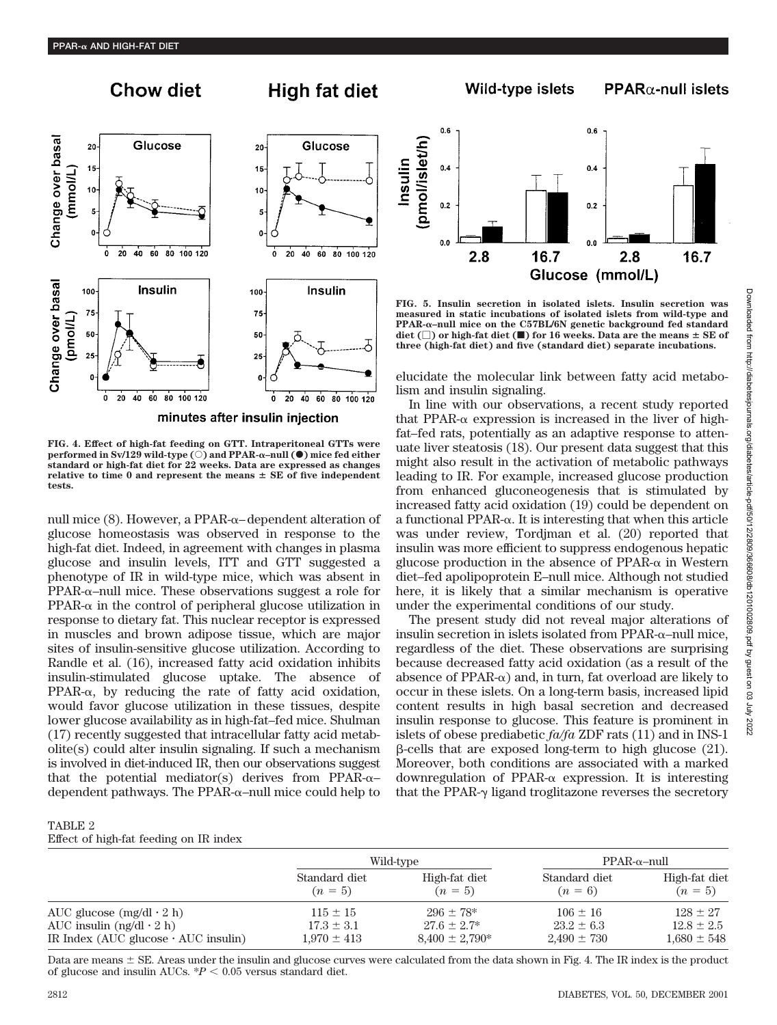Change over basal

Change over basal

(pmol/L)

mmol/L)

# **Chow diet**



**High fat diet** 

minutes after insulin injection

**FIG. 4. Effect of high-fat feeding on GTT. Intraperitoneal GTTs were performed in Sv/129 wild-type**  $(\circ)$  **and PPAR-** $\alpha$ **–null (** $\bullet$ **) mice fed either standard or high-fat diet for 22 weeks. Data are expressed as changes** relative to time  $0$  and represent the means  $\pm$  SE of five independent **tests.**

null mice (8). However, a PPAR-α-dependent alteration of glucose homeostasis was observed in response to the high-fat diet. Indeed, in agreement with changes in plasma glucose and insulin levels, ITT and GTT suggested a phenotype of IR in wild-type mice, which was absent in  $PPAR-\alpha$ -null mice. These observations suggest a role for  $PPAR-\alpha$  in the control of peripheral glucose utilization in response to dietary fat. This nuclear receptor is expressed in muscles and brown adipose tissue, which are major sites of insulin-sensitive glucose utilization. According to Randle et al. (16), increased fatty acid oxidation inhibits insulin-stimulated glucose uptake. The absence of  $PPAR-\alpha$ , by reducing the rate of fatty acid oxidation, would favor glucose utilization in these tissues, despite lower glucose availability as in high-fat–fed mice. Shulman (17) recently suggested that intracellular fatty acid metabolite(s) could alter insulin signaling. If such a mechanism is involved in diet-induced IR, then our observations suggest that the potential mediator(s) derives from PPAR- $\alpha$ dependent pathways. The PPAR- $\alpha$ -null mice could help to

# TABLE 2



 $PPAR\alpha$ -null islets

Wild-type islets

**FIG. 5. Insulin secretion in isolated islets. Insulin secretion was measured in static incubations of isolated islets from wild-type and PPAR-–null mice on the C57BL/6N genetic background fed standard**  $\text{dist}(\Box)$  or high-fat diet  $(\blacksquare)$  for 16 weeks. Data are the means  $\pm$  SE of **three (high-fat diet) and five (standard diet) separate incubations.**

elucidate the molecular link between fatty acid metabolism and insulin signaling.

In line with our observations, a recent study reported that PPAR- $\alpha$  expression is increased in the liver of highfat–fed rats, potentially as an adaptive response to attenuate liver steatosis (18). Our present data suggest that this might also result in the activation of metabolic pathways leading to IR. For example, increased glucose production from enhanced gluconeogenesis that is stimulated by increased fatty acid oxidation (19) could be dependent on  $a$  functional PPAR- $\alpha$ . It is interesting that when this article was under review, Tordjman et al. (20) reported that insulin was more efficient to suppress endogenous hepatic glucose production in the absence of  $PPAR-\alpha$  in Western diet–fed apolipoprotein E–null mice. Although not studied here, it is likely that a similar mechanism is operative under the experimental conditions of our study.

The present study did not reveal major alterations of insulin secretion in islets isolated from  $PPAR-\alpha$ -null mice, regardless of the diet. These observations are surprising because decreased fatty acid oxidation (as a result of the  $ab$ sence of PPAR- $\alpha$ ) and, in turn, fat overload are likely to occur in these islets. On a long-term basis, increased lipid content results in high basal secretion and decreased insulin response to glucose. This feature is prominent in islets of obese prediabetic *fa/fa* ZDF rats (11) and in INS-1  $\beta$ -cells that are exposed long-term to high glucose (21). Moreover, both conditions are associated with a marked downregulation of PPAR- $\alpha$  expression. It is interesting that the PPAR- $\gamma$  ligand troglitazone reverses the secretory

| J<br>I.<br>֧֦֧֦֧֦֧֦֧֦֧֦֧֧֦֧֦֧֦֧֞֝֝֜֜֓֕֓֝<br>֧֧֧֧֖֖֧֧֦֧֦֧֦֧֦֧ׅ֧֧ׅ֧֦֧֦֧֦֧֦֧֦֧֦֧֦֧֦֧֦֧֚֚֚֚֚֚֚֚֚֚֚֚֝֘֩֩֘֝֓֘֝֬֓֘֜֓֜֜ |
|-----------------------------------------------------------------------------------------------------------------|
| $\frac{1}{2}$<br>į                                                                                              |
| í<br>$\frac{1}{2}$ is a contract of $\frac{1}{2}$<br>in a c                                                     |
| トラウム<br>sns                                                                                                     |

| Effect of high-fat feeding on IR index     |                            |                            |                            |                            |  |  |  |  |  |  |
|--------------------------------------------|----------------------------|----------------------------|----------------------------|----------------------------|--|--|--|--|--|--|
|                                            |                            | Wild-type                  | $PPAR-\alpha$ -null        |                            |  |  |  |  |  |  |
|                                            | Standard diet<br>$(n = 5)$ | High-fat diet<br>$(n = 5)$ | Standard diet<br>$(n = 6)$ | High-fat diet<br>$(n = 5)$ |  |  |  |  |  |  |
| AUC glucose $(mg/dl \cdot 2 h)$            | $115 \pm 15$               | $296 \pm 78*$              | $106 \pm 16$               | $128 + 27$                 |  |  |  |  |  |  |
| AUC insulin $(ng/dl \cdot 2 h)$            | $17.3 \pm 3.1$             | $27.6 \pm 2.7^*$           | $23.2 \pm 6.3$             | $12.8 \pm 2.5$             |  |  |  |  |  |  |
| IR Index (AUC glucose $\cdot$ AUC insulin) | $1,970 \pm 413$            | $8,400 \pm 2,790*$         | $2,490 \pm 730$            | $1.680 \pm 548$            |  |  |  |  |  |  |

Data are means  $\pm$  SE. Areas under the insulin and glucose curves were calculated from the data shown in Fig. 4. The IR index is the product of glucose and insulin AUCs.  $P < 0.05$  versus standard diet.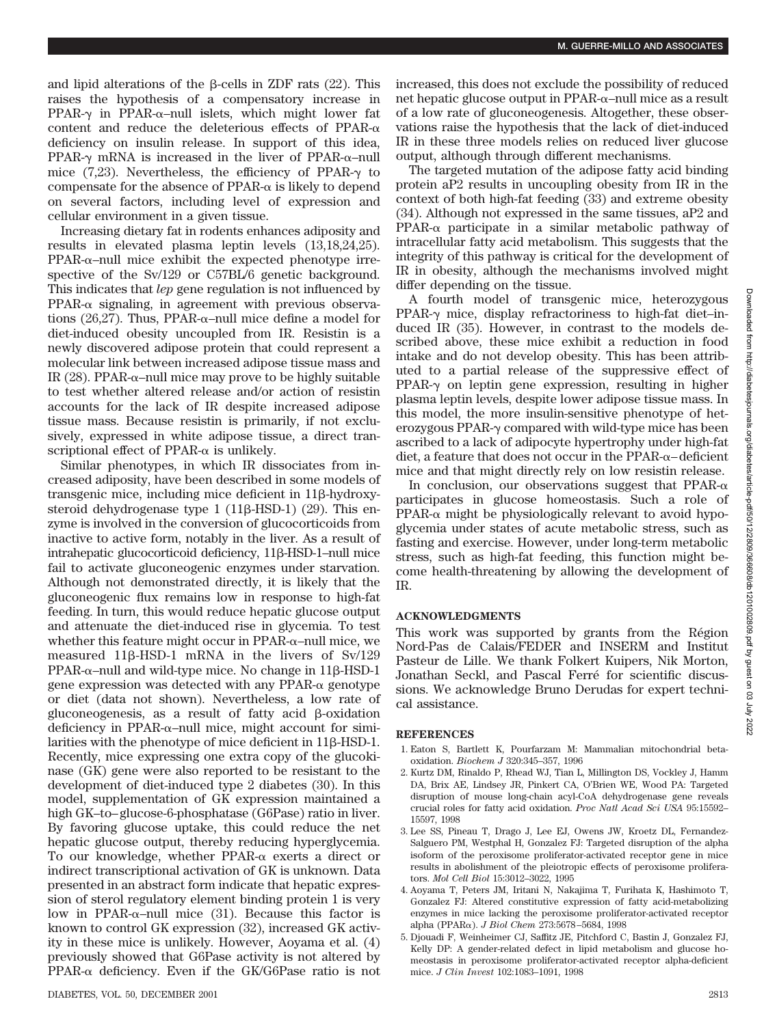and lipid alterations of the  $\beta$ -cells in ZDF rats (22). This raises the hypothesis of a compensatory increase in PPAR- $\gamma$  in PPAR- $\alpha$ -null islets, which might lower fat content and reduce the deleterious effects of PPAR- $\alpha$ deficiency on insulin release. In support of this idea,  $PPAR-\gamma$  mRNA is increased in the liver of  $PPAR-\alpha$ -null mice  $(7,23)$ . Nevertheless, the efficiency of PPAR- $\gamma$  to compensate for the absence of  $PPAR-\alpha$  is likely to depend on several factors, including level of expression and cellular environment in a given tissue.

Increasing dietary fat in rodents enhances adiposity and results in elevated plasma leptin levels (13,18,24,25).  $PPAR-\alpha$ -null mice exhibit the expected phenotype irrespective of the Sv/129 or C57BL/6 genetic background. This indicates that *lep* gene regulation is not influenced by  $PPAR-\alpha$  signaling, in agreement with previous observations  $(26,27)$ . Thus, PPAR- $\alpha$ -null mice define a model for diet-induced obesity uncoupled from IR. Resistin is a newly discovered adipose protein that could represent a molecular link between increased adipose tissue mass and IR (28). PPAR- $\alpha$ –null mice may prove to be highly suitable to test whether altered release and/or action of resistin accounts for the lack of IR despite increased adipose tissue mass. Because resistin is primarily, if not exclusively, expressed in white adipose tissue, a direct transcriptional effect of PPAR- $\alpha$  is unlikely.

Similar phenotypes, in which IR dissociates from increased adiposity, have been described in some models of transgenic mice, including mice deficient in  $11\beta$ -hydroxysteroid dehydrogenase type  $1(11\beta$ -HSD-1) (29). This enzyme is involved in the conversion of glucocorticoids from inactive to active form, notably in the liver. As a result of intrahepatic glucocorticoid deficiency, 11ß-HSD-1-null mice fail to activate gluconeogenic enzymes under starvation. Although not demonstrated directly, it is likely that the gluconeogenic flux remains low in response to high-fat feeding. In turn, this would reduce hepatic glucose output and attenuate the diet-induced rise in glycemia. To test whether this feature might occur in  $PPAR-\alpha$ -null mice, we measured 11 $\beta$ -HSD-1 mRNA in the livers of Sv/129  $PPAR-\alpha$ -null and wild-type mice. No change in 11 $\beta$ -HSD-1 gene expression was detected with any PPAR- $\alpha$  genotype or diet (data not shown). Nevertheless, a low rate of glucone ogenesis, as a result of fatty acid  $\beta$ -oxidation deficiency in PPAR- $\alpha$ -null mice, might account for similarities with the phenotype of mice deficient in  $11\beta$ -HSD-1. Recently, mice expressing one extra copy of the glucokinase (GK) gene were also reported to be resistant to the development of diet-induced type 2 diabetes (30). In this model, supplementation of GK expression maintained a high GK–to–glucose-6-phosphatase (G6Pase) ratio in liver. By favoring glucose uptake, this could reduce the net hepatic glucose output, thereby reducing hyperglycemia. To our knowledge, whether  $PPAR-\alpha$  exerts a direct or indirect transcriptional activation of GK is unknown. Data presented in an abstract form indicate that hepatic expression of sterol regulatory element binding protein 1 is very low in PPAR- $\alpha$ -null mice (31). Because this factor is known to control GK expression (32), increased GK activity in these mice is unlikely. However, Aoyama et al. (4) previously showed that G6Pase activity is not altered by  $PPAR-\alpha$  deficiency. Even if the GK/G6Pase ratio is not

increased, this does not exclude the possibility of reduced net hepatic glucose output in  $PPAR-\alpha$ -null mice as a result of a low rate of gluconeogenesis. Altogether, these observations raise the hypothesis that the lack of diet-induced IR in these three models relies on reduced liver glucose output, although through different mechanisms.

The targeted mutation of the adipose fatty acid binding protein aP2 results in uncoupling obesity from IR in the context of both high-fat feeding (33) and extreme obesity (34). Although not expressed in the same tissues, aP2 and  $PPAR-\alpha$  participate in a similar metabolic pathway of intracellular fatty acid metabolism. This suggests that the integrity of this pathway is critical for the development of IR in obesity, although the mechanisms involved might differ depending on the tissue.

A fourth model of transgenic mice, heterozygous PPAR- $\gamma$  mice, display refractoriness to high-fat diet-induced IR (35). However, in contrast to the models described above, these mice exhibit a reduction in food intake and do not develop obesity. This has been attributed to a partial release of the suppressive effect of  $PPAR-\gamma$  on leptin gene expression, resulting in higher plasma leptin levels, despite lower adipose tissue mass. In this model, the more insulin-sensitive phenotype of heterozygous PPAR- $\gamma$  compared with wild-type mice has been ascribed to a lack of adipocyte hypertrophy under high-fat  $\det$ , a feature that does not occur in the PPAR- $\alpha$ -deficient mice and that might directly rely on low resistin release.

In conclusion, our observations suggest that  $PPAR-\alpha$ participates in glucose homeostasis. Such a role of  $PPAR-\alpha$  might be physiologically relevant to avoid hypoglycemia under states of acute metabolic stress, such as fasting and exercise. However, under long-term metabolic stress, such as high-fat feeding, this function might become health-threatening by allowing the development of IR.

## **ACKNOWLEDGMENTS**

This work was supported by grants from the Région Nord-Pas de Calais/FEDER and INSERM and Institut Pasteur de Lille. We thank Folkert Kuipers, Nik Morton, Jonathan Seckl, and Pascal Ferré for scientific discussions. We acknowledge Bruno Derudas for expert technical assistance.

### **REFERENCES**

- 1. Eaton S, Bartlett K, Pourfarzam M: Mammalian mitochondrial betaoxidation. *Biochem J* 320:345–357, 1996
- 2. Kurtz DM, Rinaldo P, Rhead WJ, Tian L, Millington DS, Vockley J, Hamm DA, Brix AE, Lindsey JR, Pinkert CA, O'Brien WE, Wood PA: Targeted disruption of mouse long-chain acyl-CoA dehydrogenase gene reveals crucial roles for fatty acid oxidation. *Proc Natl Acad Sci USA* 95:15592– 15597, 1998
- 3. Lee SS, Pineau T, Drago J, Lee EJ, Owens JW, Kroetz DL, Fernandez-Salguero PM, Westphal H, Gonzalez FJ: Targeted disruption of the alpha isoform of the peroxisome proliferator-activated receptor gene in mice results in abolishment of the pleiotropic effects of peroxisome proliferators. *Mol Cell Biol* 15:3012–3022, 1995
- 4. Aoyama T, Peters JM, Iritani N, Nakajima T, Furihata K, Hashimoto T, Gonzalez FJ: Altered constitutive expression of fatty acid-metabolizing enzymes in mice lacking the peroxisome proliferator-activated receptor alpha (PPARα). *J Biol Chem* 273:5678-5684, 1998
- 5. Djouadi F, Weinheimer CJ, Saffitz JE, Pitchford C, Bastin J, Gonzalez FJ, Kelly DP: A gender-related defect in lipid metabolism and glucose homeostasis in peroxisome proliferator-activated receptor alpha-deficient mice. *J Clin Invest* 102:1083–1091, 1998